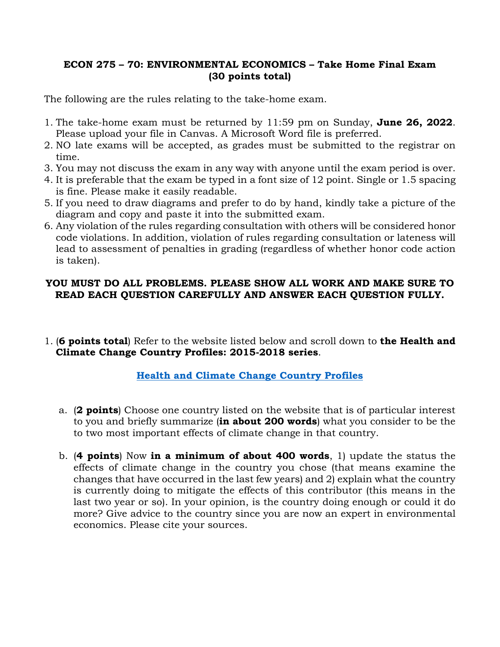## **ECON 275 – 70: ENVIRONMENTAL ECONOMICS – Take Home Final Exam (30 points total)**

The following are the rules relating to the take-home exam.

- 1. The take-home exam must be returned by 11:59 pm on Sunday, **June 26, 2022**. Please upload your file in Canvas. A Microsoft Word file is preferred.
- 2. NO late exams will be accepted, as grades must be submitted to the registrar on time.
- 3. You may not discuss the exam in any way with anyone until the exam period is over.
- 4. It is preferable that the exam be typed in a font size of 12 point. Single or 1.5 spacing is fine. Please make it easily readable.
- 5. If you need to draw diagrams and prefer to do by hand, kindly take a picture of the diagram and copy and paste it into the submitted exam.
- 6. Any violation of the rules regarding consultation with others will be considered honor code violations. In addition, violation of rules regarding consultation or lateness will lead to assessment of penalties in grading (regardless of whether honor code action is taken).

## **YOU MUST DO ALL PROBLEMS. PLEASE SHOW ALL WORK AND MAKE SURE TO READ EACH QUESTION CAREFULLY AND ANSWER EACH QUESTION FULLY.**

1. (**6 points total**) Refer to the website listed below and scroll down to **the Health and Climate Change Country Profiles: 2015-2018 series**.

## **[Health and Climate Change Country Profiles](https://www.who.int/teams/environment-climate-change-and-health/climate-change-and-health/evidence-monitoring/health-and-climate-change-country-profiles)**

- a. (**2 points**) Choose one country listed on the website that is of particular interest to you and briefly summarize (**in about 200 words**) what you consider to be the to two most important effects of climate change in that country.
- b. (**4 points**) Now **in a minimum of about 400 words**, 1) update the status the effects of climate change in the country you chose (that means examine the changes that have occurred in the last few years) and 2) explain what the country is currently doing to mitigate the effects of this contributor (this means in the last two year or so). In your opinion, is the country doing enough or could it do more? Give advice to the country since you are now an expert in environmental economics. Please cite your sources.